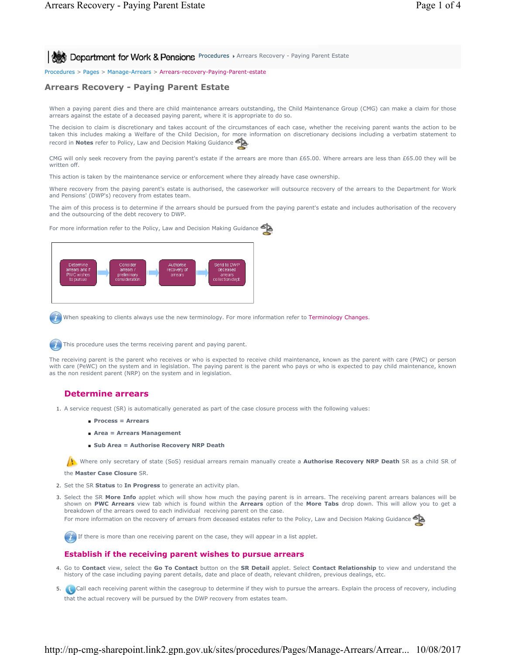**Procedures Arrears Recovery - Paying Parent Estate** 

Procedures > Pages > Manage-Arrears > Arrears-recovery-Paying-Parent-estate

# **Arrears Recovery - Paying Parent Estate**

When a paying parent dies and there are child maintenance arrears outstanding, the Child Maintenance Group (CMG) can make a claim for those arrears against the estate of a deceased paying parent, where it is appropriate to do so.

The decision to claim is discretionary and takes account of the circumstances of each case, whether the receiving parent wants the action to be taken this includes making a Welfare of the Child Decision, for more information on discretionary decisions including a verbatim statement to record in **Notes** refer to Policy, Law and Decision Making Guidance

CMG will only seek recovery from the paying parent's estate if the arrears are more than £65.00. Where arrears are less than £65.00 they will be written off.

This action is taken by the maintenance service or enforcement where they already have case ownership.

Where recovery from the paying parent's estate is authorised, the caseworker will outsource recovery of the arrears to the Department for Work and Pensions' (DWP's) recovery from estates team.

The aim of this process is to determine if the arrears should be pursued from the paying parent's estate and includes authorisation of the recovery and the outsourcing of the debt recovery to DWP.



For more information refer to the Policy, Law and Decision Making Guidance

When speaking to clients always use the new terminology. For more information refer to Terminology Changes.

This procedure uses the terms receiving parent and paying parent.

The receiving parent is the parent who receives or who is expected to receive child maintenance, known as the parent with care (PWC) or person with care (PeWC) on the system and in legislation. The paying parent is the parent who pays or who is expected to pay child maintenance, known as the non resident parent (NRP) on the system and in legislation.

## **Determine arrears**

1. A service request (SR) is automatically generated as part of the case closure process with the following values:

- **Process = Arrears**
- **Area = Arrears Management**
- **Sub Area = Authorise Recovery NRP Death**

Where only secretary of state (SoS) residual arrears remain manually create a **Authorise Recovery NRP Death** SR as a child SR of

the **Master Case Closure** SR.

- 2. Set the SR **Status** to **In Progress** to generate an activity plan.
- 3. Select the SR More Info applet which will show how much the paying parent is in arrears. The receiving parent arrears balances will be shown on **PWC Arrears** view tab which is found within the **Arrears** option of the **More Tabs** drop down. This will allow you to get a breakdown of the arrears owed to each individual receiving parent on the case.

For more information on the recovery of arrears from deceased estates refer to the Policy, Law and Decision Making Guidance



If there is more than one receiving parent on the case, they will appear in a list applet.

### **Establish if the receiving parent wishes to pursue arrears**

- Go to **Contact** view, select the **Go To Contact** button on the **SR Detail** applet. Select **Contact Relationship** to view and understand the 4. history of the case including paying parent details, date and place of death, relevant children, previous dealings, etc.
- 5. **Call each receiving parent within the casegroup to determine if they wish to pursue the arrears. Explain the process of recovery, including** that the actual recovery will be pursued by the DWP recovery from estates team.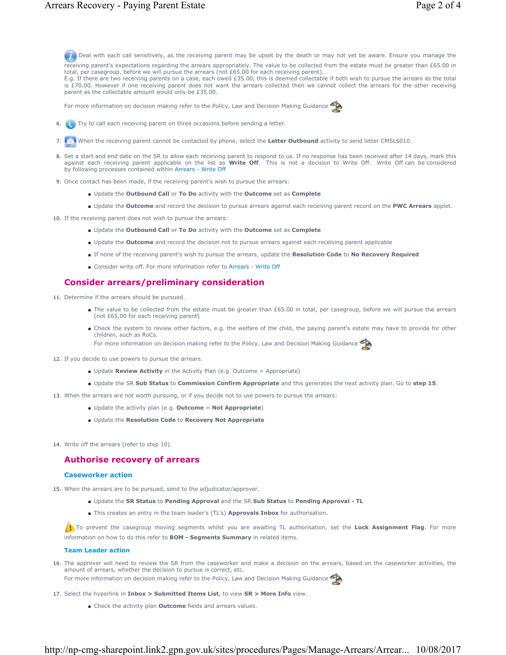Deal with each call sensitively, as the receiving parent may be upset by the death or may not yet be aware. Ensure you manage the receiving parent's expectations regarding the arrears appropriately. The value to be collected from the estate must be greater than £65.00 in total, per casegroup, before we will pursue the arrears (not £65.00 for each receiving parent).

E.g. If there are two receiving parents on a case, each owed £35.00, this is deemed collectable if both wish to pursue the arrears as the total is £70.00. However if one receiving parent does not want the arrears collected then we cannot collect the arrears for the other receiving parent as the collectable amount would only be £35.00.

For more information on decision making refer to the Policy, Law and Decision Making Guidance

- 6. **Try to call each receiving parent on three occasions before sending a letter.**
- 7. When the receiving parent cannot be contacted by phone, select the **Letter Outbound** activity to send letter CMSL6010.
- 8. Set a start and end date on the SR to allow each receiving parent to respond to us. If no response has been received after 14 days, mark this against each receiving parent applicable on the list as **Write Off**. This is not a decision to Write Off. Write Off can be considered by following processes contained within Arrears - Write Off
- 9. Once contact has been made, if the receiving parent's wish to pursue the arrears:
	- Update the **Outbound Call** or **To Do** activity with the **Outcome** set as **Complete**
	- Update the **Outcome** and record the decision to pursue arrears against each receiving parent record on the **PWC Arrears** applet.
- 10. If the receiving parent does not wish to pursue the arrears:
	- Update the **Outbound Call** or **To Do** activity with the **Outcome** set as **Complete**
	- Update the **Outcome** and record the decision not to pursue arrears against each receiving parent applicable
	- If none of the receiving parent's wish to pursue the arrears, update the **Resolution Code** to **No Recovery Required**
	- Consider write off. For more information refer to Arrears Write Off

### **Consider arrears/preliminary consideration**

- 11. Determine if the arrears should be pursued.
	- The value to be collected from the estate must be greater than £65.00 in total, per casegroup, before we will pursue the arrears (not £65.00 for each receiving parent)
	- Check the system to review other factors, e.g. the welfare of the child, the paying parent's estate may have to provide for other children, such as RoCs.

For more information on decision making refer to the Policy, Law and Decision Making Guidance

- 12. If you decide to use powers to pursue the arrears.
	- Update **Review Activity** in the Activity Plan (e.g. Outcome = Appropriate)
	- Update the SR **Sub Status** to **Commission Confirm Appropriate** and this generates the next activity plan. Go to **step 15**.
- 13. When the arrears are not worth pursuing, or if you decide not to use powers to pursue the arrears:
	- Update the activity plan (e.g. **Outcome** = **Not Appropriate**)
	- Update the **Resolution Code** to **Recovery Not Appropriate**
- 14. Write off the arrears (refer to step 10).

### **Authorise recovery of arrears**

#### **Caseworker action**

- 15. When the arrears are to be pursued, send to the adjudicator/approver.
	- Update the **SR Status** to **Pending Approval** and the SR **Sub Status** to **Pending Approval TL**
	- This creates an entry in the team leader's (TL's) **Approvals Inbox** for authorisation.

To prevent the casegroup moving segments whilst you are awaiting TL authorisation, set the Lock Assignment Flag. For more information on how to do this refer to **BOM - Segments Summary** in related items.

#### **Team Leader action**

- 16. The approver will need to review the SR from the caseworker and make a decision on the arrears, based on the caseworker activities, the amount of arrears, whether the decision to pursue is correct, etc. For more information on decision making refer to the Policy, Law and Decision Making Guidance
- 17. Select the hyperlink in **Inbox > Submitted Items List**, to view **SR > More Info** view.
	- Check the activity plan **Outcome** fields and arrears values.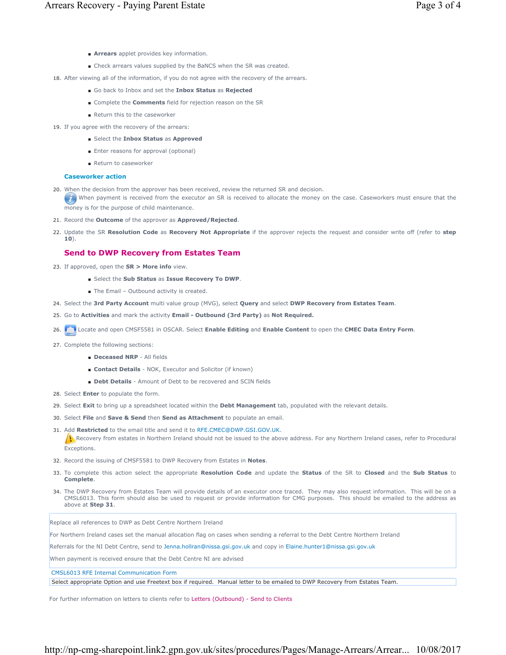- **Arrears** applet provides key information.
- Check arrears values supplied by the BaNCS when the SR was created.

18. After viewing all of the information, if you do not agree with the recovery of the arrears.

- Go back to Inbox and set the **Inbox Status** as **Rejected**
- Complete the **Comments** field for rejection reason on the SR
- Return this to the caseworker
- 19. If you agree with the recovery of the arrears:
	- Select the **Inbox Status** as **Approved**
	- Enter reasons for approval (optional)
	- Return to caseworker

### **Caseworker action**

- When the decision from the approver has been received, review the returned SR and decision. 20.
- When payment is received from the executor an SR is received to allocate the money on the case. Caseworkers must ensure that the money is for the purpose of child maintenance.
- 21. Record the **Outcome** of the approver as **Approved/Rejected**.
- 22. Update the SR Resolution Code as Recovery Not Appropriate if the approver rejects the request and consider write off (refer to step **10**).

## **Send to DWP Recovery from Estates Team**

- 23. If approved, open the **SR > More info** view.
	- Select the **Sub Status** as **Issue Recovery To DWP**.
	- The Email Outbound activity is created.
- 24. Select the **3rd Party Account** multi value group (MVG), select **Query** and select **DWP Recovery from Estates Team**.
- 25. Go to **Activities** and mark the activity **Email Outbound (3rd Party)** as **Not Required.**
- 26. Locate and open CMSF5581 in OSCAR. Select **Enable Editing** and **Enable Content** to open the **CMEC Data Entry Form**.
- 27. Complete the following sections:
	- **Deceased NRP** All fields
	- **Contact Details** NOK, Executor and Solicitor (if known)
	- **Debt Details** Amount of Debt to be recovered and SCIN fields
- 28. Select **Enter** to populate the form.
- 29. Select **Exit** to bring up a spreadsheet located within the **Debt Management** tab, populated with the relevant details.
- 30. Select **File** and **Save & Send** then **Send as Attachment** to populate an email.
- 31. Add Restricted to the email title and send it to RFE.CMEC@DWP.GSI.GOV.UK.

Recovery from estates in Northern Ireland should not be issued to the above address. For any Northern Ireland cases, refer to Procedural Exceptions.

- 32. Record the issuing of CMSF5581 to DWP Recovery from Estates in **Notes**.
- 33. To complete this action select the appropriate Resolution Code and update the Status of the SR to Closed and the Sub Status to **Complete**.
- 34. The DWP Recovery from Estates Team will provide details of an executor once traced. They may also request information. This will be on a CMSL6013. This form should also be used to request or provide information for CMG purposes. This should be emailed to the address as above at **Step 31**.

Replace all references to DWP as Debt Centre Northern Ireland

For Northern Ireland cases set the manual allocation flag on cases when sending a referral to the Debt Centre Northern Ireland

Referrals for the NI Debt Centre, send to Jenna.hollran@nissa.gsi.gov.uk and copy in Elaine.hunter1@nissa.gsi.gov.uk

When payment is received ensure that the Debt Centre NI are advised

CMSL6013 RFE Internal Communication Form

Select appropriate Option and use Freetext box if required. Manual letter to be emailed to DWP Recovery from Estates Team.

For further information on letters to clients refer to Letters (Outbound) - Send to Clients